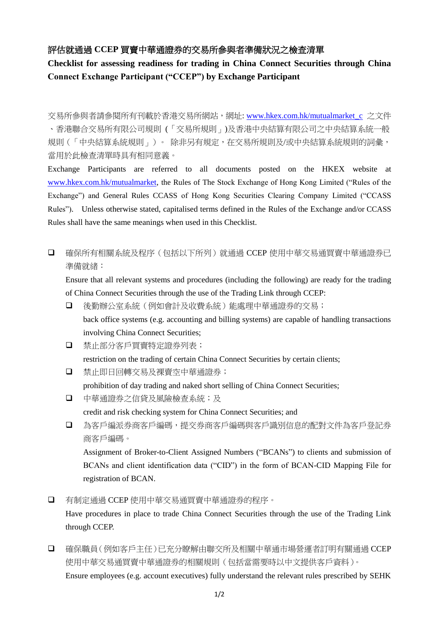## 評估就通過 **CCEP** 買賣中華通證券的交易所參與者準備狀況之檢查清單

## **Checklist for assessing readiness for trading in China Connect Securities through China Connect Exchange Participant ("CCEP") by Exchange Participant**

交易所參與者請參閱所有刊載於香港交易所網站,網址: [www.hkex.com.hk/mutualmarket\\_c](file:///C:/Users/GigiWong/AppData/Local/Microsoft/Windows/INetCache/Content.Outlook/R6ST4ZSI/www.hkex.com.hk/mutualmarket_c) 之文件 、香港聯合交易所有限公司規則 (「交易所規則」)及香港中央結算有限公司之中央結算系統一般 規則(「中央結算系統規則」)。 除非另有規定,在交易所規則及/或中央結算系統規則的詞彙, 當用於此檢查清單時具有相同意義。

Exchange Participants are referred to all documents posted on the HKEX website at [www.hkex.com.hk/mutualmarket,](http://www.hkex.com.hk/mutualmarket) the Rules of The Stock Exchange of Hong Kong Limited ("Rules of the Exchange") and General Rules CCASS of Hong Kong Securities Clearing Company Limited ("CCASS Rules"). Unless otherwise stated, capitalised terms defined in the Rules of the Exchange and/or CCASS Rules shall have the same meanings when used in this Checklist.

□ 確保所有相關系統及程序(包括以下所列)就通過 CCEP 使用中華交易通買賣中華通證券已 準備就緒:

Ensure that all relevant systems and procedures (including the following) are ready for the trading of China Connect Securities through the use of the Trading Link through CCEP:

- 後勤辦公室系統(例如會計及收費系統)能處理中華通證券的交易; back office systems (e.g. accounting and billing systems) are capable of handling transactions involving China Connect Securities;
- 禁止部分客戶買賣特定證券列表;

restriction on the trading of certain China Connect Securities by certain clients;

- □ 禁止即日回轉交易及裸賣空中華通證券; prohibition of day trading and naked short selling of China Connect Securities;
- 中華通證券之信貸及風險檢查系統;及 credit and risk checking system for China Connect Securities; and
- □ 為客戶編派券商客戶編碼,提交券商客戶編碼與客戶識別信息的配對文件為客戶登記券 商客戶編碼。

Assignment of Broker-to-Client Assigned Numbers ("BCANs") to clients and submission of BCANs and client identification data ("CID") in the form of BCAN-CID Mapping File for registration of BCAN.

有制定通過 CCEP 使用中華交易通買賣中華通證券的程序。

Have procedures in place to trade China Connect Securities through the use of the Trading Link through CCEP.

 確保職員(例如客戶主任)已充分瞭解由聯交所及相關中華通市場營運者訂明有關通過 CCEP 使用中華交易通買賣中華通證券的相關規則(包括當需要時以中文提供客戶資料)。 Ensure employees (e.g. account executives) fully understand the relevant rules prescribed by SEHK